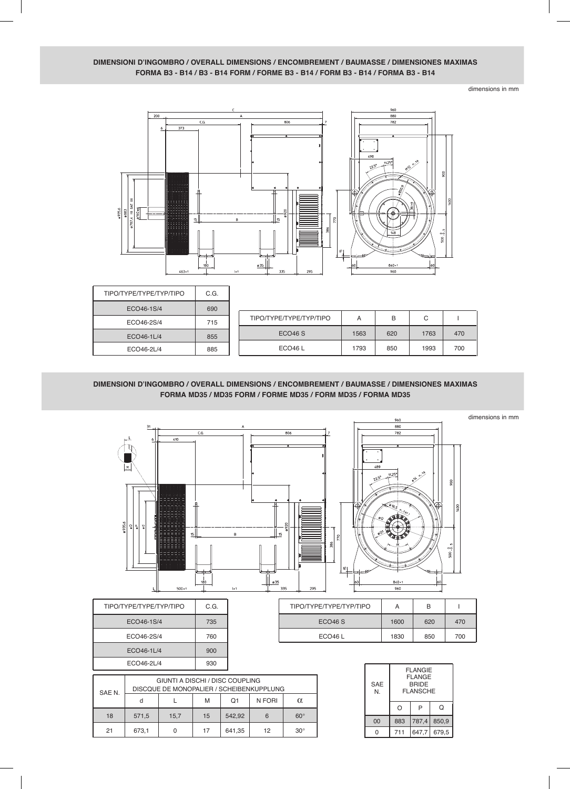## **DIMENSIONI D'INGOMBRO / OVERALL DIMENSIONS / ENCOMBREMENT / BAUMASSE / DIMENSIONES MAXIMAS FORMA B3 - B14 / B3 - B14 FORM / FORME B3 - B14 / FORM B3 - B14 / FORMA B3 - B14**

dimensions in mm



| ΤΙΡΟ/ΤΥΡΕ/ΤΥΡΕ/ΤΥΡ/ΤΙΡΟ | C.G. |
|-------------------------|------|
| ECO46-1S/4              | 690  |
| ECO46-2S/4              | 715  |
| ECO46-1L/4              | 855  |
| ECO46-2L/4              | 885  |

| ECO46-1S/4 | 690 |                         |      |     |      |     |  |
|------------|-----|-------------------------|------|-----|------|-----|--|
| ECO46-2S/4 | 715 | TIPO/TYPE/TYPE/TYP/TIPO | А    | B   | C    |     |  |
| ECO46-1L/4 | 855 | ECO <sub>46</sub> S     | 1563 | 620 | 1763 | 470 |  |
| ECO46-2L/4 | 885 | ECO <sub>46</sub> L     | 1793 | 850 | 1993 | 700 |  |
|            |     |                         |      |     |      |     |  |

## **DIMENSIONI D'INGOMBRO / OVERALL DIMENSIONS / ENCOMBREMENT / BAUMASSE / DIMENSIONES MAXIMAS FORMA MD35 / MD35 FORM / FORME MD35 / FORM MD35 / FORMA MD35**



| ΤΙΡΟ/ΤΥΡΕ/ΤΥΡΕ/ΤΥΡ/ΤΙΡΟ | А    | в   |     |
|-------------------------|------|-----|-----|
| ECO46S                  | 1600 | 620 | 470 |
| ECO <sub>46</sub> $L$   | 1830 | 850 | 700 |

| <b>SAE</b><br>N. | <b>FLANGIE</b><br><b>FLANGE</b><br><b>BRIDE</b><br><b>FLANSCHE</b> |       |       |  |  |
|------------------|--------------------------------------------------------------------|-------|-------|--|--|
|                  | Ω                                                                  | P     | Q     |  |  |
| 00               | 883                                                                | 787,4 | 850,9 |  |  |
| O                | 711                                                                | 647,7 | 679,5 |  |  |

| . .                     |      |
|-------------------------|------|
| ΤΙΡΟ/ΤΥΡΕ/ΤΥΡΕ/ΤΥΡ/ΤΙΡΟ | C.G. |
| ECO46-1S/4              | 735  |
| ECO46-2S/4              | 760  |
| ECO46-1L/4              | 900  |
| ECO46-2L/4              | 930  |
|                         |      |

| SAE N. | GIUNTI A DISCHI / DISC COUPLING<br>DISCQUE DE MONOPALIER / SCHEIBENKUPPLUNG |      |    |        |        |            |
|--------|-----------------------------------------------------------------------------|------|----|--------|--------|------------|
|        | d                                                                           |      | М  | O1     | N FORI | $\alpha$   |
| 18     | 571,5                                                                       | 15,7 | 15 | 542,92 | 6      | $60^\circ$ |
| 21     | 673,1                                                                       | 0    | 17 | 641,35 | 12     | $30^\circ$ |